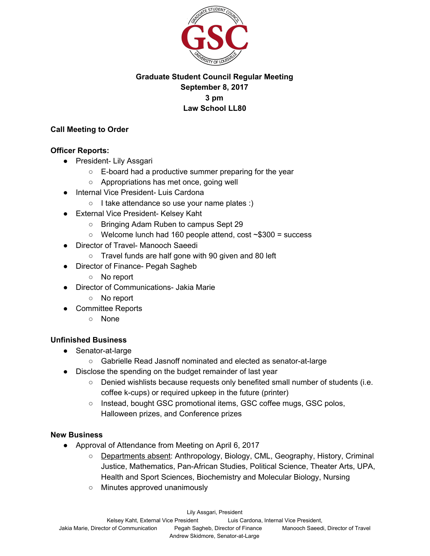

# **Graduate Student Council Regular Meeting September 8, 2017 3 pm Law School LL80**

#### **Call Meeting to Order**

#### **Officer Reports:**

- President- Lily Assgari
	- E-board had a productive summer preparing for the year
	- Appropriations has met once, going well
- **Internal Vice President- Luis Cardona** 
	- I take attendance so use your name plates :)
- External Vice President- Kelsey Kaht
	- Bringing Adam Ruben to campus Sept 29
	- $\circ$  Welcome lunch had 160 people attend, cost  $\sim$ \$300 = success
- Director of Travel- Manooch Saeedi
	- Travel funds are half gone with 90 given and 80 left
- Director of Finance- Pegah Sagheb
	- No report
- **Director of Communications- Jakia Marie** 
	- No report
- Committee Reports
	- None

## **Unfinished Business**

- Senator-at-large
	- Gabrielle Read Jasnoff nominated and elected as senator-at-large
- Disclose the spending on the budget remainder of last year
	- Denied wishlists because requests only benefited small number of students (i.e. coffee k-cups) or required upkeep in the future (printer)
	- Instead, bought GSC promotional items, GSC coffee mugs, GSC polos, Halloween prizes, and Conference prizes

## **New Business**

- Approval of Attendance from Meeting on April 6, 2017
	- Departments absent: Anthropology, Biology, CML, Geography, History, Criminal Justice, Mathematics, Pan-African Studies, Political Science, Theater Arts, UPA, Health and Sport Sciences, Biochemistry and Molecular Biology, Nursing
	- Minutes approved unanimously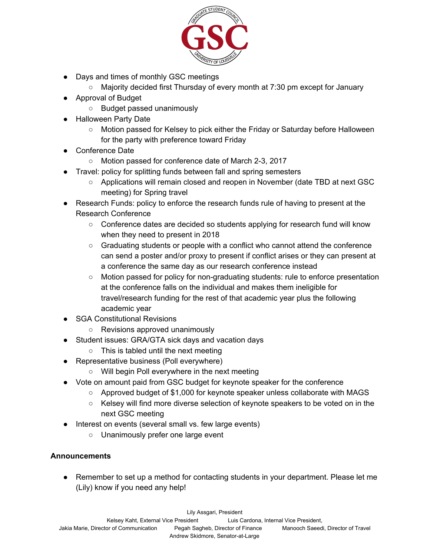

- Days and times of monthly GSC meetings
	- Majority decided first Thursday of every month at 7:30 pm except for January
- Approval of Budget
	- Budget passed unanimously
- **Halloween Party Date** 
	- Motion passed for Kelsey to pick either the Friday or Saturday before Halloween for the party with preference toward Friday
- Conference Date
	- Motion passed for conference date of March 2-3, 2017
- Travel: policy for splitting funds between fall and spring semesters
	- Applications will remain closed and reopen in November (date TBD at next GSC meeting) for Spring travel
- Research Funds: policy to enforce the research funds rule of having to present at the Research Conference
	- Conference dates are decided so students applying for research fund will know when they need to present in 2018
	- Graduating students or people with a conflict who cannot attend the conference can send a poster and/or proxy to present if conflict arises or they can present at a conference the same day as our research conference instead
	- Motion passed for policy for non-graduating students: rule to enforce presentation at the conference falls on the individual and makes them ineligible for travel/research funding for the rest of that academic year plus the following academic year
- SGA Constitutional Revisions
	- Revisions approved unanimously
- Student issues: GRA/GTA sick days and vacation days
	- This is tabled until the next meeting
- Representative business (Poll everywhere)
	- Will begin Poll everywhere in the next meeting
- Vote on amount paid from GSC budget for keynote speaker for the conference
	- Approved budget of \$1,000 for keynote speaker unless collaborate with MAGS
	- Kelsey will find more diverse selection of keynote speakers to be voted on in the next GSC meeting
- Interest on events (several small vs. few large events)
	- Unanimously prefer one large event

## **Announcements**

● Remember to set up a method for contacting students in your department. Please let me (Lily) know if you need any help!